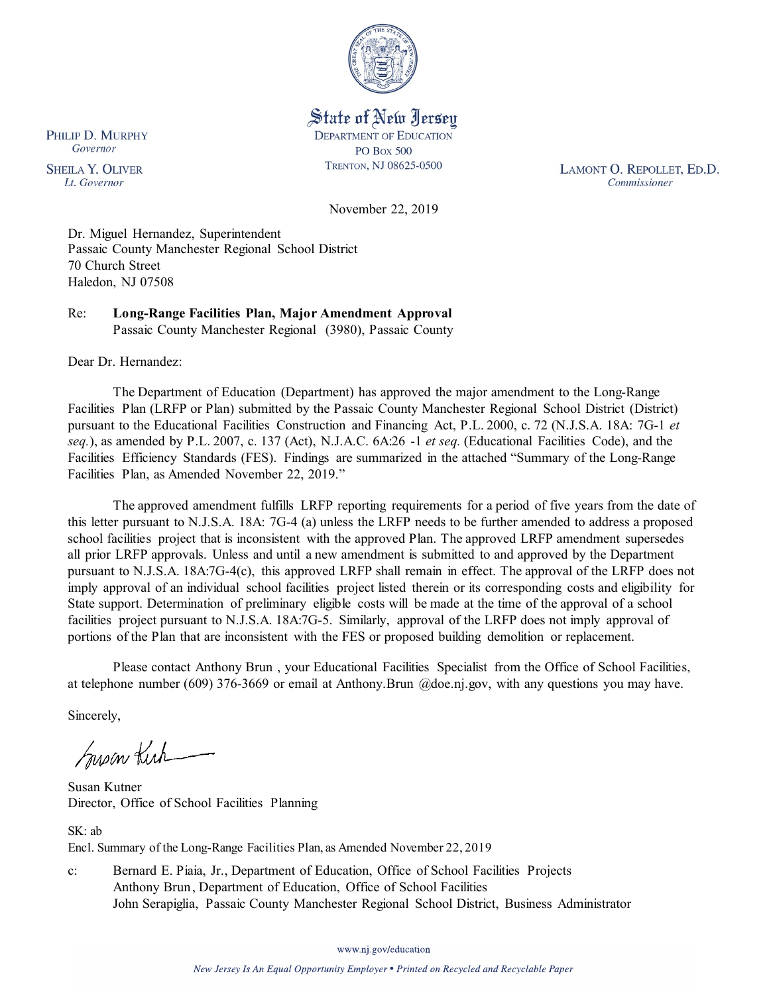

State of New Jersey **DEPARTMENT OF EDUCATION PO Box 500** TRENTON, NJ 08625-0500

LAMONT O. REPOLLET, ED.D. Commissioner

November 22, 2019

Dr. Miguel Hernandez, Superintendent Passaic County Manchester Regional School District 70 Church Street Haledon, NJ 07508

Re: **Long-Range Facilities Plan, Major Amendment Approval** Passaic County Manchester Regional (3980), Passaic County

Dear Dr. Hernandez:

The Department of Education (Department) has approved the major amendment to the Long-Range Facilities Plan (LRFP or Plan) submitted by the Passaic County Manchester Regional School District (District) pursuant to the Educational Facilities Construction and Financing Act, P.L. 2000, c. 72 (N.J.S.A. 18A: 7G-1 *et seq.*), as amended by P.L. 2007, c. 137 (Act), N.J.A.C. 6A:26 -1 *et seq.* (Educational Facilities Code), and the Facilities Efficiency Standards (FES). Findings are summarized in the attached "Summary of the Long-Range Facilities Plan, as Amended November 22, 2019."

The approved amendment fulfills LRFP reporting requirements for a period of five years from the date of this letter pursuant to N.J.S.A. 18A: 7G-4 (a) unless the LRFP needs to be further amended to address a proposed school facilities project that is inconsistent with the approved Plan. The approved LRFP amendment supersedes all prior LRFP approvals. Unless and until a new amendment is submitted to and approved by the Department pursuant to N.J.S.A. 18A:7G-4(c), this approved LRFP shall remain in effect. The approval of the LRFP does not imply approval of an individual school facilities project listed therein or its corresponding costs and eligibility for State support. Determination of preliminary eligible costs will be made at the time of the approval of a school facilities project pursuant to N.J.S.A. 18A:7G-5. Similarly, approval of the LRFP does not imply approval of portions of the Plan that are inconsistent with the FES or proposed building demolition or replacement.

Please contact Anthony Brun , your Educational Facilities Specialist from the Office of School Facilities, at telephone number (609) 376-3669 or email at Anthony.Brun @doe.nj.gov, with any questions you may have.

Sincerely,

Susan Kich

Susan Kutner Director, Office of School Facilities Planning

SK: ab Encl. Summary of the Long-Range Facilities Plan, as Amended November 22, 2019

c: Bernard E. Piaia, Jr., Department of Education, Office of School Facilities Projects Anthony Brun, Department of Education, Office of School Facilities John Serapiglia, Passaic County Manchester Regional School District, Business Administrator

www.nj.gov/education

New Jersey Is An Equal Opportunity Employer . Printed on Recycled and Recyclable Paper

PHILIP D. MURPHY Governor

**SHEILA Y. OLIVER** Lt. Governor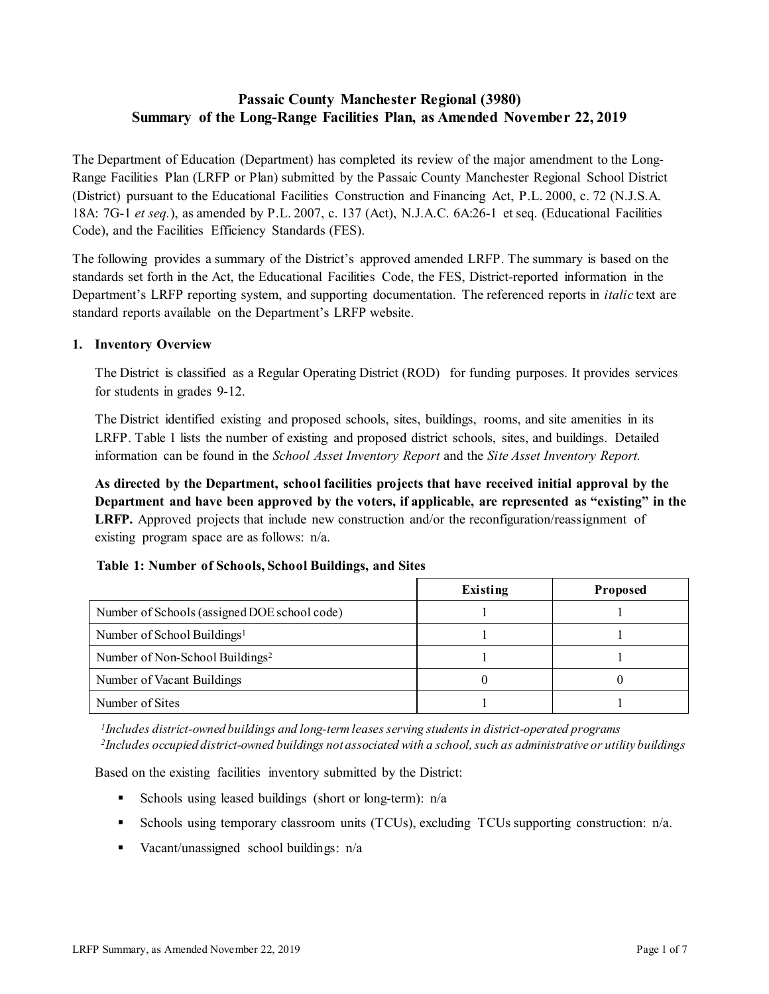# **Passaic County Manchester Regional (3980) Summary of the Long-Range Facilities Plan, as Amended November 22, 2019**

The Department of Education (Department) has completed its review of the major amendment to the Long-Range Facilities Plan (LRFP or Plan) submitted by the Passaic County Manchester Regional School District (District) pursuant to the Educational Facilities Construction and Financing Act, P.L. 2000, c. 72 (N.J.S.A. 18A: 7G-1 *et seq.*), as amended by P.L. 2007, c. 137 (Act), N.J.A.C. 6A:26-1 et seq. (Educational Facilities Code), and the Facilities Efficiency Standards (FES).

The following provides a summary of the District's approved amended LRFP. The summary is based on the standards set forth in the Act, the Educational Facilities Code, the FES, District-reported information in the Department's LRFP reporting system, and supporting documentation. The referenced reports in *italic* text are standard reports available on the Department's LRFP website.

# **1. Inventory Overview**

The District is classified as a Regular Operating District (ROD) for funding purposes. It provides services for students in grades 9-12.

The District identified existing and proposed schools, sites, buildings, rooms, and site amenities in its LRFP. Table 1 lists the number of existing and proposed district schools, sites, and buildings. Detailed information can be found in the *School Asset Inventory Report* and the *Site Asset Inventory Report.*

**As directed by the Department, school facilities projects that have received initial approval by the Department and have been approved by the voters, if applicable, are represented as "existing" in the LRFP.** Approved projects that include new construction and/or the reconfiguration/reassignment of existing program space are as follows: n/a.

|                                              | Existing | <b>Proposed</b> |
|----------------------------------------------|----------|-----------------|
| Number of Schools (assigned DOE school code) |          |                 |
| Number of School Buildings <sup>1</sup>      |          |                 |
| Number of Non-School Buildings <sup>2</sup>  |          |                 |
| Number of Vacant Buildings                   |          |                 |
| Number of Sites                              |          |                 |

# **Table 1: Number of Schools, School Buildings, and Sites**

*1Includes district-owned buildings and long-term leases serving students in district-operated programs 2Includes occupied district-owned buildings not associated with a school, such as administrative or utility buildings*

Based on the existing facilities inventory submitted by the District:

- Schools using leased buildings (short or long-term):  $n/a$
- Schools using temporary classroom units (TCUs), excluding TCUs supporting construction:  $n/a$ .
- Vacant/unassigned school buildings: n/a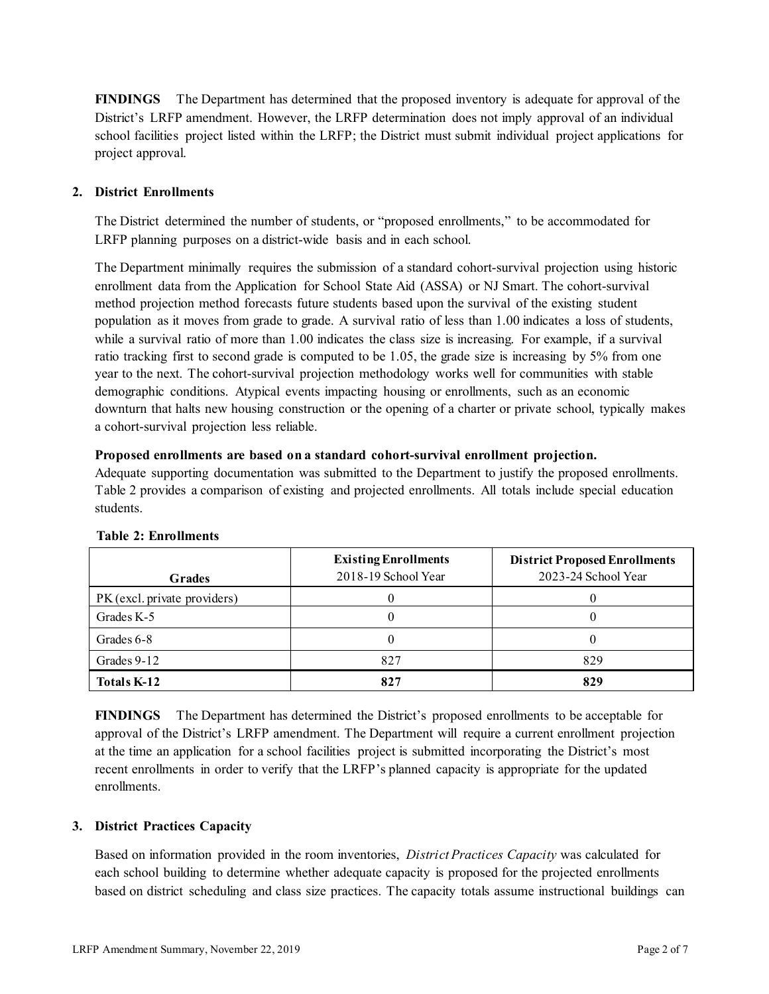**FINDINGS** The Department has determined that the proposed inventory is adequate for approval of the District's LRFP amendment. However, the LRFP determination does not imply approval of an individual school facilities project listed within the LRFP; the District must submit individual project applications for project approval.

# **2. District Enrollments**

The District determined the number of students, or "proposed enrollments," to be accommodated for LRFP planning purposes on a district-wide basis and in each school.

The Department minimally requires the submission of a standard cohort-survival projection using historic enrollment data from the Application for School State Aid (ASSA) or NJ Smart. The cohort-survival method projection method forecasts future students based upon the survival of the existing student population as it moves from grade to grade. A survival ratio of less than 1.00 indicates a loss of students, while a survival ratio of more than 1.00 indicates the class size is increasing. For example, if a survival ratio tracking first to second grade is computed to be 1.05, the grade size is increasing by 5% from one year to the next. The cohort-survival projection methodology works well for communities with stable demographic conditions. Atypical events impacting housing or enrollments, such as an economic downturn that halts new housing construction or the opening of a charter or private school, typically makes a cohort-survival projection less reliable.

# **Proposed enrollments are based on a standard cohort-survival enrollment projection.**

Adequate supporting documentation was submitted to the Department to justify the proposed enrollments. Table 2 provides a comparison of existing and projected enrollments. All totals include special education students.

|                              | <b>Existing Enrollments</b> | <b>District Proposed Enrollments</b> |
|------------------------------|-----------------------------|--------------------------------------|
| <b>Grades</b>                | 2018-19 School Year         | 2023-24 School Year                  |
| PK (excl. private providers) |                             |                                      |
| Grades K-5                   |                             |                                      |
| Grades 6-8                   |                             |                                      |
| Grades 9-12                  | 827                         | 829                                  |
| Totals K-12                  | 827                         | 829                                  |

# **Table 2: Enrollments**

**FINDINGS** The Department has determined the District's proposed enrollments to be acceptable for approval of the District's LRFP amendment. The Department will require a current enrollment projection at the time an application for a school facilities project is submitted incorporating the District's most recent enrollments in order to verify that the LRFP's planned capacity is appropriate for the updated enrollments.

# **3. District Practices Capacity**

Based on information provided in the room inventories, *District Practices Capacity* was calculated for each school building to determine whether adequate capacity is proposed for the projected enrollments based on district scheduling and class size practices. The capacity totals assume instructional buildings can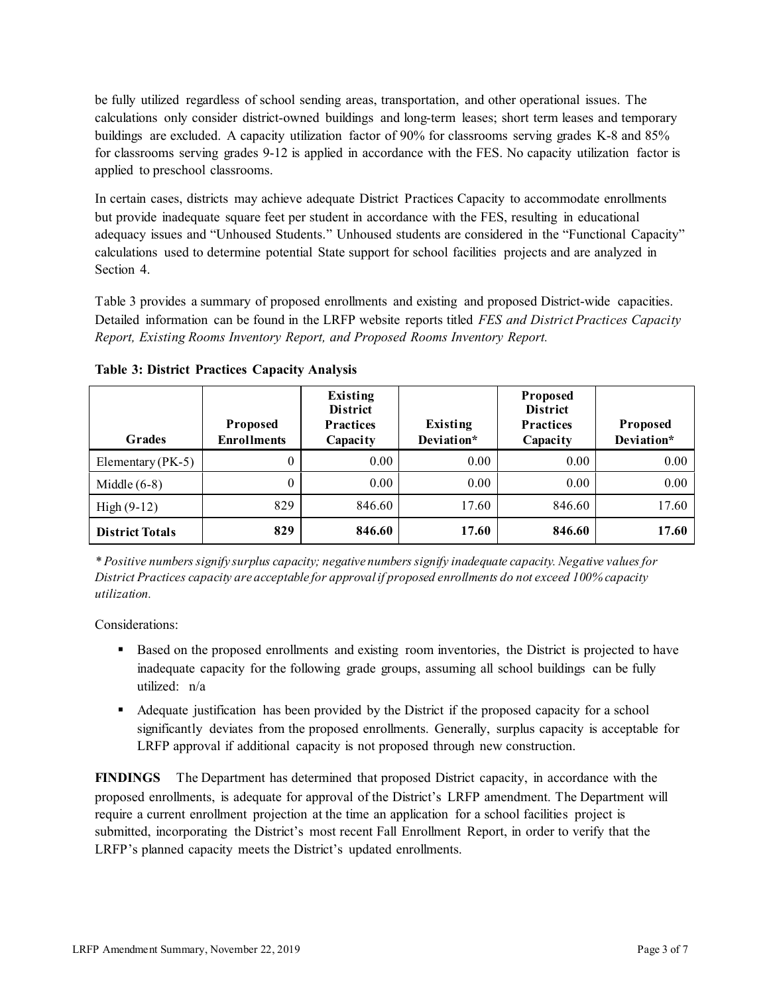be fully utilized regardless of school sending areas, transportation, and other operational issues. The calculations only consider district-owned buildings and long-term leases; short term leases and temporary buildings are excluded. A capacity utilization factor of 90% for classrooms serving grades K-8 and 85% for classrooms serving grades 9-12 is applied in accordance with the FES. No capacity utilization factor is applied to preschool classrooms.

In certain cases, districts may achieve adequate District Practices Capacity to accommodate enrollments but provide inadequate square feet per student in accordance with the FES, resulting in educational adequacy issues and "Unhoused Students." Unhoused students are considered in the "Functional Capacity" calculations used to determine potential State support for school facilities projects and are analyzed in Section 4.

Table 3 provides a summary of proposed enrollments and existing and proposed District-wide capacities. Detailed information can be found in the LRFP website reports titled *FES and District Practices Capacity Report, Existing Rooms Inventory Report, and Proposed Rooms Inventory Report.*

| <b>Grades</b>          | <b>Proposed</b><br><b>Enrollments</b> | Existing<br><b>District</b><br><b>Practices</b><br>Capacity | Existing<br>Deviation* | Proposed<br><b>District</b><br><b>Practices</b><br>Capacity | Proposed<br>Deviation* |
|------------------------|---------------------------------------|-------------------------------------------------------------|------------------------|-------------------------------------------------------------|------------------------|
| Elementary ( $PK-5$ )  | 0                                     | 0.00                                                        | 0.00                   | 0.00                                                        | 0.00                   |
| Middle $(6-8)$         | 0                                     | 0.00                                                        | 0.00                   | 0.00                                                        | 0.00                   |
| High $(9-12)$          | 829                                   | 846.60                                                      | 17.60                  | 846.60                                                      | 17.60                  |
| <b>District Totals</b> | 829                                   | 846.60                                                      | 17.60                  | 846.60                                                      | 17.60                  |

**Table 3: District Practices Capacity Analysis**

*\* Positive numbers signify surplus capacity; negative numbers signify inadequate capacity. Negative values for District Practices capacity are acceptable for approvalif proposed enrollments do not exceed 100% capacity utilization.*

Considerations:

- Based on the proposed enrollments and existing room inventories, the District is projected to have inadequate capacity for the following grade groups, assuming all school buildings can be fully utilized: n/a
- Adequate justification has been provided by the District if the proposed capacity for a school significantly deviates from the proposed enrollments. Generally, surplus capacity is acceptable for LRFP approval if additional capacity is not proposed through new construction.

**FINDINGS**The Department has determined that proposed District capacity, in accordance with the proposed enrollments, is adequate for approval of the District's LRFP amendment. The Department will require a current enrollment projection at the time an application for a school facilities project is submitted, incorporating the District's most recent Fall Enrollment Report, in order to verify that the LRFP's planned capacity meets the District's updated enrollments.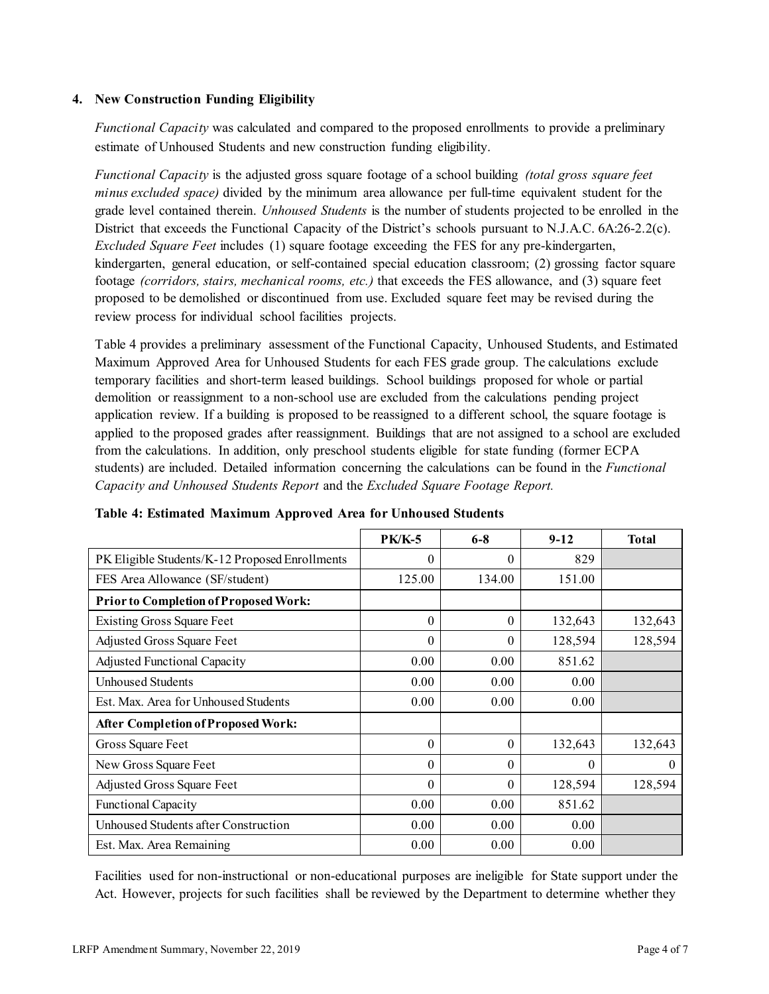# **4. New Construction Funding Eligibility**

*Functional Capacity* was calculated and compared to the proposed enrollments to provide a preliminary estimate of Unhoused Students and new construction funding eligibility.

*Functional Capacity* is the adjusted gross square footage of a school building *(total gross square feet minus excluded space)* divided by the minimum area allowance per full-time equivalent student for the grade level contained therein. *Unhoused Students* is the number of students projected to be enrolled in the District that exceeds the Functional Capacity of the District's schools pursuant to N.J.A.C. 6A:26-2.2(c). *Excluded Square Feet* includes (1) square footage exceeding the FES for any pre-kindergarten, kindergarten, general education, or self-contained special education classroom; (2) grossing factor square footage *(corridors, stairs, mechanical rooms, etc.)* that exceeds the FES allowance, and (3) square feet proposed to be demolished or discontinued from use. Excluded square feet may be revised during the review process for individual school facilities projects.

Table 4 provides a preliminary assessment of the Functional Capacity, Unhoused Students, and Estimated Maximum Approved Area for Unhoused Students for each FES grade group. The calculations exclude temporary facilities and short-term leased buildings. School buildings proposed for whole or partial demolition or reassignment to a non-school use are excluded from the calculations pending project application review. If a building is proposed to be reassigned to a different school, the square footage is applied to the proposed grades after reassignment. Buildings that are not assigned to a school are excluded from the calculations. In addition, only preschool students eligible for state funding (former ECPA students) are included. Detailed information concerning the calculations can be found in the *Functional Capacity and Unhoused Students Report* and the *Excluded Square Footage Report.*

|                                                | <b>PK/K-5</b> | $6 - 8$ | $9 - 12$ | <b>Total</b> |
|------------------------------------------------|---------------|---------|----------|--------------|
| PK Eligible Students/K-12 Proposed Enrollments | 0             | 0       | 829      |              |
| FES Area Allowance (SF/student)                | 125.00        | 134.00  | 151.00   |              |
| <b>Prior to Completion of Proposed Work:</b>   |               |         |          |              |
| <b>Existing Gross Square Feet</b>              | 0             | 0       | 132,643  | 132,643      |
| Adjusted Gross Square Feet                     | 0             | 0       | 128,594  | 128,594      |
| <b>Adjusted Functional Capacity</b>            | 0.00          | 0.00    | 851.62   |              |
| <b>Unhoused Students</b>                       | 0.00          | 0.00    | 0.00     |              |
| Est. Max. Area for Unhoused Students           | 0.00          | 0.00    | 0.00     |              |
| <b>After Completion of Proposed Work:</b>      |               |         |          |              |
| Gross Square Feet                              | 0             | 0       | 132,643  | 132,643      |
| New Gross Square Feet                          | 0             | 0       | $\theta$ | $\Omega$     |
| Adjusted Gross Square Feet                     | $\Omega$      | 0       | 128,594  | 128,594      |
| <b>Functional Capacity</b>                     | 0.00          | 0.00    | 851.62   |              |
| Unhoused Students after Construction           | 0.00          | 0.00    | 0.00     |              |
| Est. Max. Area Remaining                       | 0.00          | 0.00    | 0.00     |              |

**Table 4: Estimated Maximum Approved Area for Unhoused Students** 

Facilities used for non-instructional or non-educational purposes are ineligible for State support under the Act. However, projects for such facilities shall be reviewed by the Department to determine whether they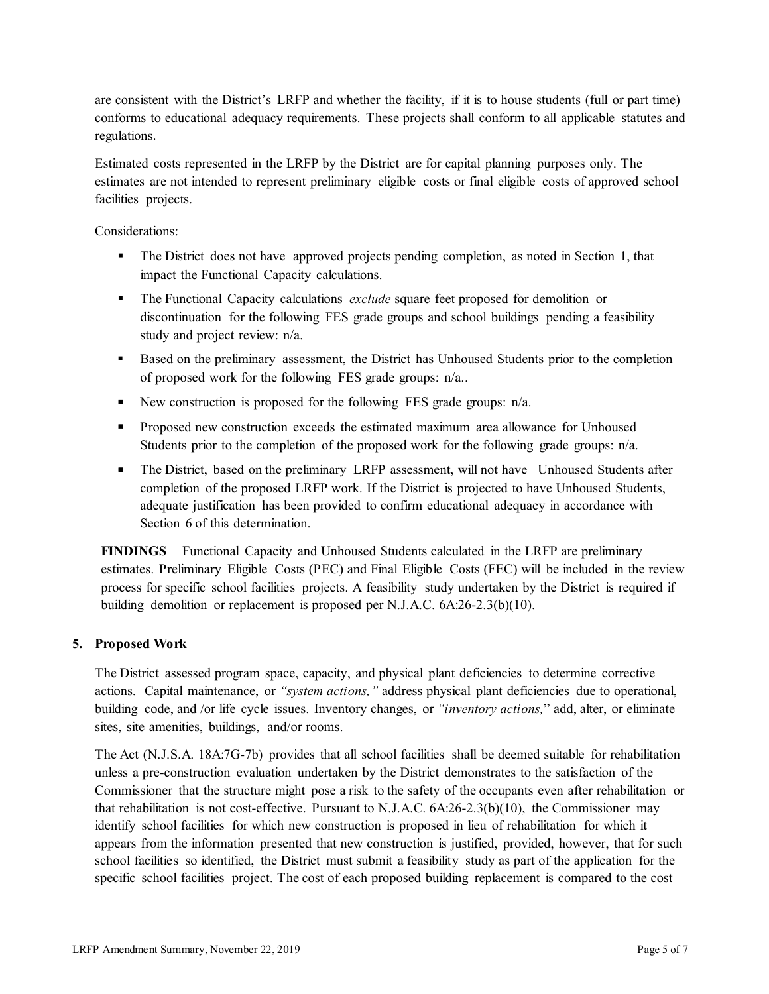are consistent with the District's LRFP and whether the facility, if it is to house students (full or part time) conforms to educational adequacy requirements. These projects shall conform to all applicable statutes and regulations.

Estimated costs represented in the LRFP by the District are for capital planning purposes only. The estimates are not intended to represent preliminary eligible costs or final eligible costs of approved school facilities projects.

Considerations:

- The District does not have approved projects pending completion, as noted in Section 1, that impact the Functional Capacity calculations.
- The Functional Capacity calculations *exclude* square feet proposed for demolition or discontinuation for the following FES grade groups and school buildings pending a feasibility study and project review: n/a.
- Based on the preliminary assessment, the District has Unhoused Students prior to the completion of proposed work for the following FES grade groups: n/a..
- New construction is proposed for the following FES grade groups:  $n/a$ .
- Proposed new construction exceeds the estimated maximum area allowance for Unhoused Students prior to the completion of the proposed work for the following grade groups: n/a.
- The District, based on the preliminary LRFP assessment, will not have Unhoused Students after completion of the proposed LRFP work. If the District is projected to have Unhoused Students, adequate justification has been provided to confirm educational adequacy in accordance with Section 6 of this determination.

**FINDINGS** Functional Capacity and Unhoused Students calculated in the LRFP are preliminary estimates. Preliminary Eligible Costs (PEC) and Final Eligible Costs (FEC) will be included in the review process for specific school facilities projects. A feasibility study undertaken by the District is required if building demolition or replacement is proposed per N.J.A.C. 6A:26-2.3(b)(10).

# **5. Proposed Work**

The District assessed program space, capacity, and physical plant deficiencies to determine corrective actions. Capital maintenance, or *"system actions,"* address physical plant deficiencies due to operational, building code, and /or life cycle issues. Inventory changes, or *"inventory actions,*" add, alter, or eliminate sites, site amenities, buildings, and/or rooms.

The Act (N.J.S.A. 18A:7G-7b) provides that all school facilities shall be deemed suitable for rehabilitation unless a pre-construction evaluation undertaken by the District demonstrates to the satisfaction of the Commissioner that the structure might pose a risk to the safety of the occupants even after rehabilitation or that rehabilitation is not cost-effective. Pursuant to N.J.A.C. 6A:26-2.3(b)(10), the Commissioner may identify school facilities for which new construction is proposed in lieu of rehabilitation for which it appears from the information presented that new construction is justified, provided, however, that for such school facilities so identified, the District must submit a feasibility study as part of the application for the specific school facilities project. The cost of each proposed building replacement is compared to the cost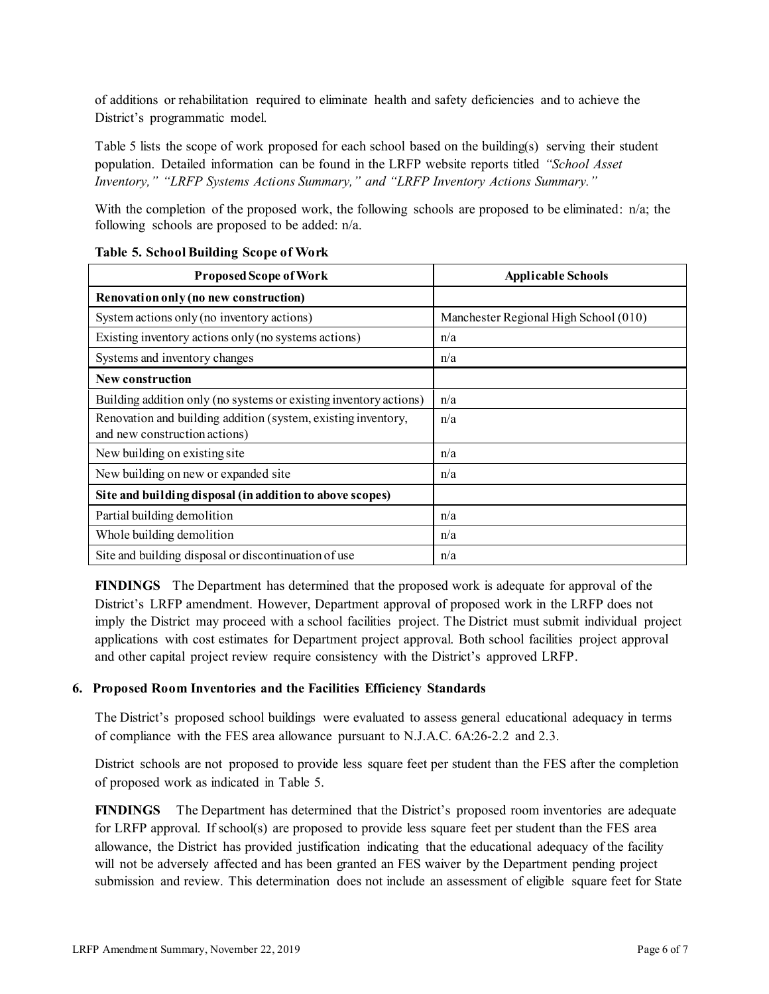of additions or rehabilitation required to eliminate health and safety deficiencies and to achieve the District's programmatic model.

Table 5 lists the scope of work proposed for each school based on the building(s) serving their student population. Detailed information can be found in the LRFP website reports titled *"School Asset Inventory," "LRFP Systems Actions Summary," and "LRFP Inventory Actions Summary."*

With the completion of the proposed work, the following schools are proposed to be eliminated: n/a; the following schools are proposed to be added: n/a.

| <b>Proposed Scope of Work</b>                                                                  | <b>Applicable Schools</b>             |
|------------------------------------------------------------------------------------------------|---------------------------------------|
| Renovation only (no new construction)                                                          |                                       |
| System actions only (no inventory actions)                                                     | Manchester Regional High School (010) |
| Existing inventory actions only (no systems actions)                                           | n/a                                   |
| Systems and inventory changes                                                                  | n/a                                   |
| New construction                                                                               |                                       |
| Building addition only (no systems or existing inventory actions)                              | n/a                                   |
| Renovation and building addition (system, existing inventory,<br>and new construction actions) | n/a                                   |
| New building on existing site                                                                  | n/a                                   |
| New building on new or expanded site                                                           | n/a                                   |
| Site and building disposal (in addition to above scopes)                                       |                                       |
| Partial building demolition                                                                    | n/a                                   |
| Whole building demolition                                                                      | n/a                                   |
| Site and building disposal or discontinuation of use                                           | n/a                                   |

# **Table 5. School Building Scope of Work**

**FINDINGS** The Department has determined that the proposed work is adequate for approval of the District's LRFP amendment. However, Department approval of proposed work in the LRFP does not imply the District may proceed with a school facilities project. The District must submit individual project applications with cost estimates for Department project approval. Both school facilities project approval and other capital project review require consistency with the District's approved LRFP.

# **6. Proposed Room Inventories and the Facilities Efficiency Standards**

The District's proposed school buildings were evaluated to assess general educational adequacy in terms of compliance with the FES area allowance pursuant to N.J.A.C. 6A:26-2.2 and 2.3.

District schools are not proposed to provide less square feet per student than the FES after the completion of proposed work as indicated in Table 5.

**FINDINGS** The Department has determined that the District's proposed room inventories are adequate for LRFP approval. If school(s) are proposed to provide less square feet per student than the FES area allowance, the District has provided justification indicating that the educational adequacy of the facility will not be adversely affected and has been granted an FES waiver by the Department pending project submission and review. This determination does not include an assessment of eligible square feet for State